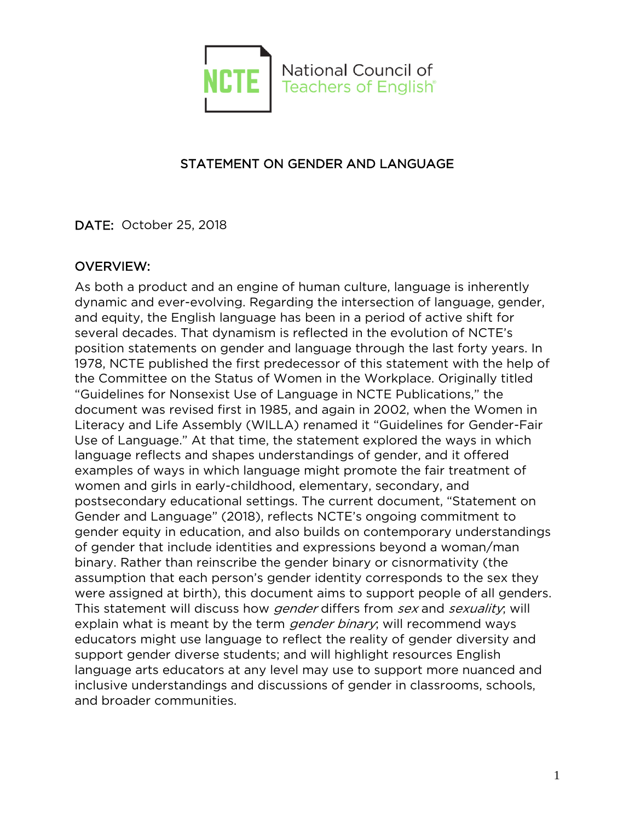

### STATEMENT ON GENDER AND LANGUAGE

DATE: October 25, 2018

#### OVERVIEW:

As both a product and an engine of human culture, language is inherently dynamic and ever-evolving. Regarding the intersection of language, gender, and equity, the English language has been in a period of active shift for several decades. That dynamism is reflected in the evolution of NCTE's position statements on gender and language through the last forty years. In 1978, NCTE published the first predecessor of this statement with the help of the Committee on the Status of Women in the Workplace. Originally titled "Guidelines for Nonsexist Use of Language in NCTE Publications," the document was revised first in 1985, and again in 2002, when the Women in Literacy and Life Assembly (WILLA) renamed it "Guidelines for Gender-Fair Use of Language." At that time, the statement explored the ways in which language reflects and shapes understandings of gender, and it offered examples of ways in which language might promote the fair treatment of women and girls in early-childhood, elementary, secondary, and postsecondary educational settings. The current document, "Statement on Gender and Language" (2018), reflects NCTE's ongoing commitment to gender equity in education, and also builds on contemporary understandings of gender that include identities and expressions beyond a woman/man binary. Rather than reinscribe the gender binary or cisnormativity (the assumption that each person's gender identity corresponds to the sex they were assigned at birth), this document aims to support people of all genders. This statement will discuss how *gender* differs from sex and sexuality; will explain what is meant by the term *gender binary*, will recommend ways educators might use language to reflect the reality of gender diversity and support gender diverse students; and will highlight resources English language arts educators at any level may use to support more nuanced and inclusive understandings and discussions of gender in classrooms, schools, and broader communities.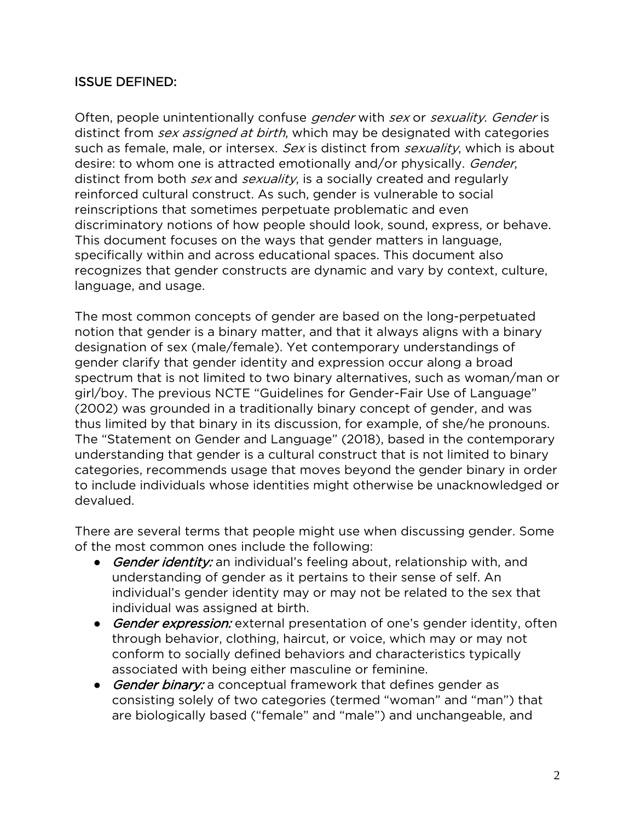### ISSUE DEFINED:

Often, people unintentionally confuse *gender* with sex or sexuality. Gender is distinct from *sex assigned at birth*, which may be designated with categories such as female, male, or intersex. Sex is distinct from sexuality, which is about desire: to whom one is attracted emotionally and/or physically. Gender, distinct from both *sex* and *sexuality*, is a socially created and regularly reinforced cultural construct. As such, gender is vulnerable to social reinscriptions that sometimes perpetuate problematic and even discriminatory notions of how people should look, sound, express, or behave. This document focuses on the ways that gender matters in language, specifically within and across educational spaces. This document also recognizes that gender constructs are dynamic and vary by context, culture, language, and usage.

The most common concepts of gender are based on the long-perpetuated notion that gender is a binary matter, and that it always aligns with a binary designation of sex (male/female). Yet contemporary understandings of gender clarify that gender identity and expression occur along a broad spectrum that is not limited to two binary alternatives, such as woman/man or girl/boy. The previous NCTE "Guidelines for Gender-Fair Use of Language" (2002) was grounded in a traditionally binary concept of gender, and was thus limited by that binary in its discussion, for example, of she/he pronouns. The "Statement on Gender and Language" (2018), based in the contemporary understanding that gender is a cultural construct that is not limited to binary categories, recommends usage that moves beyond the gender binary in order to include individuals whose identities might otherwise be unacknowledged or devalued.

There are several terms that people might use when discussing gender. Some of the most common ones include the following:

- **Gender identity:** an individual's feeling about, relationship with, and understanding of gender as it pertains to their sense of self. An individual's gender identity may or may not be related to the sex that individual was assigned at birth.
- Gender expression: external presentation of one's gender identity, often through behavior, clothing, haircut, or voice, which may or may not conform to socially defined behaviors and characteristics typically associated with being either masculine or feminine.
- Gender binary: a conceptual framework that defines gender as consisting solely of two categories (termed "woman" and "man") that are biologically based ("female" and "male") and unchangeable, and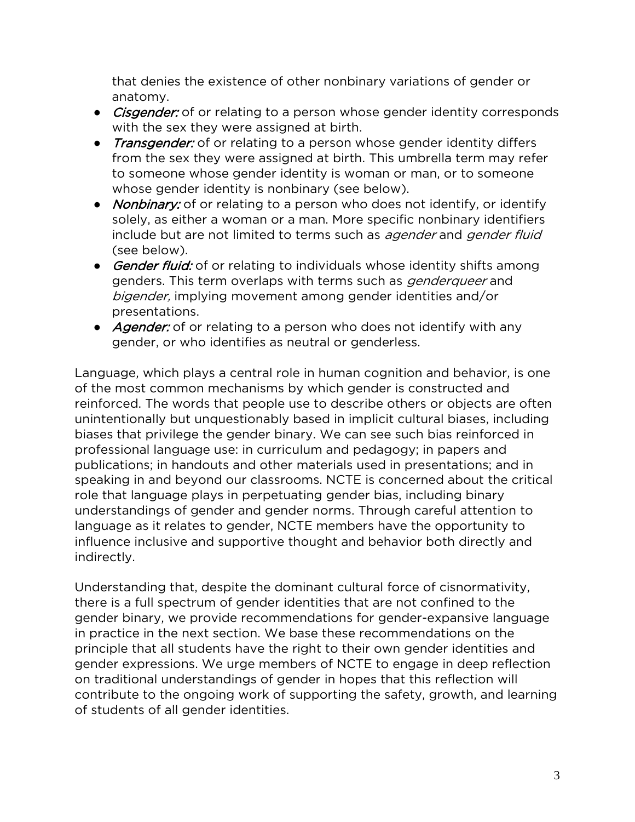that denies the existence of other nonbinary variations of gender or anatomy.

- Cisgender: of or relating to a person whose gender identity corresponds with the sex they were assigned at birth.
- Transgender: of or relating to a person whose gender identity differs from the sex they were assigned at birth. This umbrella term may refer to someone whose gender identity is woman or man, or to someone whose gender identity is nonbinary (see below).
- Nonbinary: of or relating to a person who does not identify, or identify solely, as either a woman or a man. More specific nonbinary identifiers include but are not limited to terms such as agender and gender fluid (see below).
- Gender fluid: of or relating to individuals whose identity shifts among genders. This term overlaps with terms such as *genderqueer* and bigender, implying movement among gender identities and/or presentations.
- Agender: of or relating to a person who does not identify with any gender, or who identifies as neutral or genderless.

Language, which plays a central role in human cognition and behavior, is one of the most common mechanisms by which gender is constructed and reinforced. The words that people use to describe others or objects are often unintentionally but unquestionably based in implicit cultural biases, including biases that privilege the gender binary. We can see such bias reinforced in professional language use: in curriculum and pedagogy; in papers and publications; in handouts and other materials used in presentations; and in speaking in and beyond our classrooms. NCTE is concerned about the critical role that language plays in perpetuating gender bias, including binary understandings of gender and gender norms. Through careful attention to language as it relates to gender, NCTE members have the opportunity to influence inclusive and supportive thought and behavior both directly and indirectly.

Understanding that, despite the dominant cultural force of cisnormativity, there is a full spectrum of gender identities that are not confined to the gender binary, we provide recommendations for gender-expansive language in practice in the next section. We base these recommendations on the principle that all students have the right to their own gender identities and gender expressions. We urge members of NCTE to engage in deep reflection on traditional understandings of gender in hopes that this reflection will contribute to the ongoing work of supporting the safety, growth, and learning of students of all gender identities.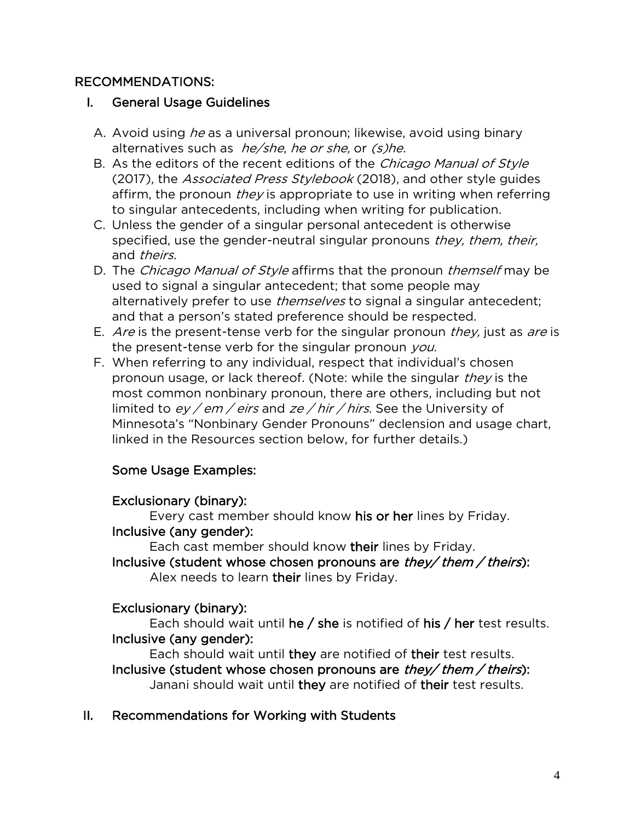#### RECOMMENDATIONS:

#### I. General Usage Guidelines

- A. Avoid using he as a universal pronoun; likewise, avoid using binary alternatives such as  $he/she$ , he or she, or  $(s)$ he.
- B. As the editors of the recent editions of the *Chicago Manual of Style* (2017), the *Associated Press Stylebook* (2018), and other style guides affirm, the pronoun *they* is appropriate to use in writing when referring to singular antecedents, including when writing for publication.
- C. Unless the gender of a singular personal antecedent is otherwise specified, use the gender-neutral singular pronouns they, them, their, and theirs.
- D. The *Chicago Manual of Style* affirms that the pronoun *themself* may be used to signal a singular antecedent; that some people may alternatively prefer to use *themselves* to signal a singular antecedent; and that a person's stated preference should be respected.
- E. Are is the present-tense verb for the singular pronoun they, just as are is the present-tense verb for the singular pronoun *you*.
- F. When referring to any individual, respect that individual's chosen pronoun usage, or lack thereof. (Note: while the singular they is the most common nonbinary pronoun, there are others, including but not limited to  $ey$  / em / eirs and ze / hir / hirs. See the University of Minnesota's "Nonbinary Gender Pronouns" declension and usage chart, linked in the Resources section below, for further details.)

# Some Usage Examples:

### Exclusionary (binary):

Every cast member should know his or her lines by Friday. Inclusive (any gender):

Each cast member should know their lines by Friday.

Inclusive (student whose chosen pronouns are *they/ them / theirs*): Alex needs to learn their lines by Friday.

### Exclusionary (binary):

Each should wait until he / she is notified of his / her test results. Inclusive (any gender):

Each should wait until they are notified of their test results. Inclusive (student whose chosen pronouns are *they/ them / theirs*): Janani should wait until they are notified of their test results.

### II. Recommendations for Working with Students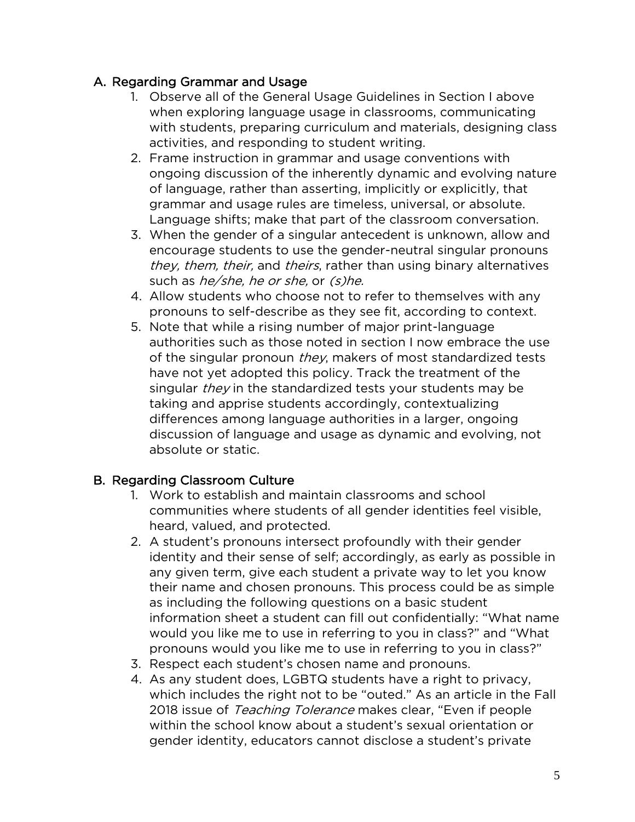### A. Regarding Grammar and Usage

- 1. Observe all of the General Usage Guidelines in Section I above when exploring language usage in classrooms, communicating with students, preparing curriculum and materials, designing class activities, and responding to student writing.
- 2. Frame instruction in grammar and usage conventions with ongoing discussion of the inherently dynamic and evolving nature of language, rather than asserting, implicitly or explicitly, that grammar and usage rules are timeless, universal, or absolute. Language shifts; make that part of the classroom conversation.
- 3. When the gender of a singular antecedent is unknown, allow and encourage students to use the gender-neutral singular pronouns they, them, their, and theirs, rather than using binary alternatives such as *he/she*, he or she, or (s)he.
- 4. Allow students who choose not to refer to themselves with any pronouns to self-describe as they see fit, according to context.
- 5. Note that while a rising number of major print-language authorities such as those noted in section I now embrace the use of the singular pronoun *they*, makers of most standardized tests have not yet adopted this policy. Track the treatment of the singular they in the standardized tests your students may be taking and apprise students accordingly, contextualizing differences among language authorities in a larger, ongoing discussion of language and usage as dynamic and evolving, not absolute or static.

# B. Regarding Classroom Culture

- 1. Work to establish and maintain classrooms and school communities where students of all gender identities feel visible, heard, valued, and protected.
- 2. A student's pronouns intersect profoundly with their gender identity and their sense of self; accordingly, as early as possible in any given term, give each student a private way to let you know their name and chosen pronouns. This process could be as simple as including the following questions on a basic student information sheet a student can fill out confidentially: "What name would you like me to use in referring to you in class?" and "What pronouns would you like me to use in referring to you in class?"
- 3. Respect each student's chosen name and pronouns.
- 4. As any student does, LGBTQ students have a right to privacy, which includes the right not to be "outed." As an article in the Fall 2018 issue of Teaching Tolerance makes clear, "Even if people within the school know about a student's sexual orientation or gender identity, educators cannot disclose a student's private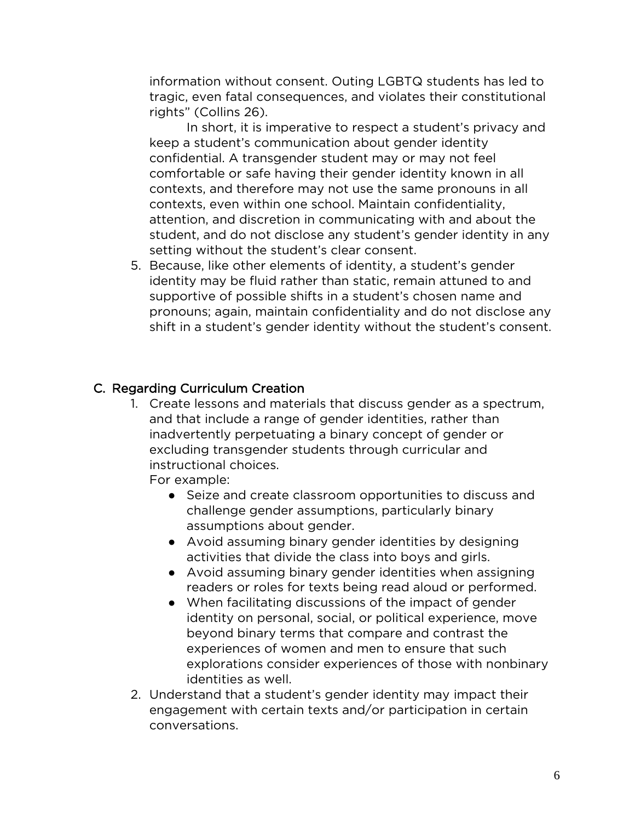information without consent. Outing LGBTQ students has led to tragic, even fatal consequences, and violates their constitutional rights" (Collins 26).

In short, it is imperative to respect a student's privacy and keep a student's communication about gender identity confidential. A transgender student may or may not feel comfortable or safe having their gender identity known in all contexts, and therefore may not use the same pronouns in all contexts, even within one school. Maintain confidentiality, attention, and discretion in communicating with and about the student, and do not disclose any student's gender identity in any setting without the student's clear consent.

5. Because, like other elements of identity, a student's gender identity may be fluid rather than static, remain attuned to and supportive of possible shifts in a student's chosen name and pronouns; again, maintain confidentiality and do not disclose any shift in a student's gender identity without the student's consent.

### C. Regarding Curriculum Creation

1. Create lessons and materials that discuss gender as a spectrum, and that include a range of gender identities, rather than inadvertently perpetuating a binary concept of gender or excluding transgender students through curricular and instructional choices.

For example:

- Seize and create classroom opportunities to discuss and challenge gender assumptions, particularly binary assumptions about gender.
- Avoid assuming binary gender identities by designing activities that divide the class into boys and girls.
- Avoid assuming binary gender identities when assigning readers or roles for texts being read aloud or performed.
- When facilitating discussions of the impact of gender identity on personal, social, or political experience, move beyond binary terms that compare and contrast the experiences of women and men to ensure that such explorations consider experiences of those with nonbinary identities as well.
- 2. Understand that a student's gender identity may impact their engagement with certain texts and/or participation in certain conversations.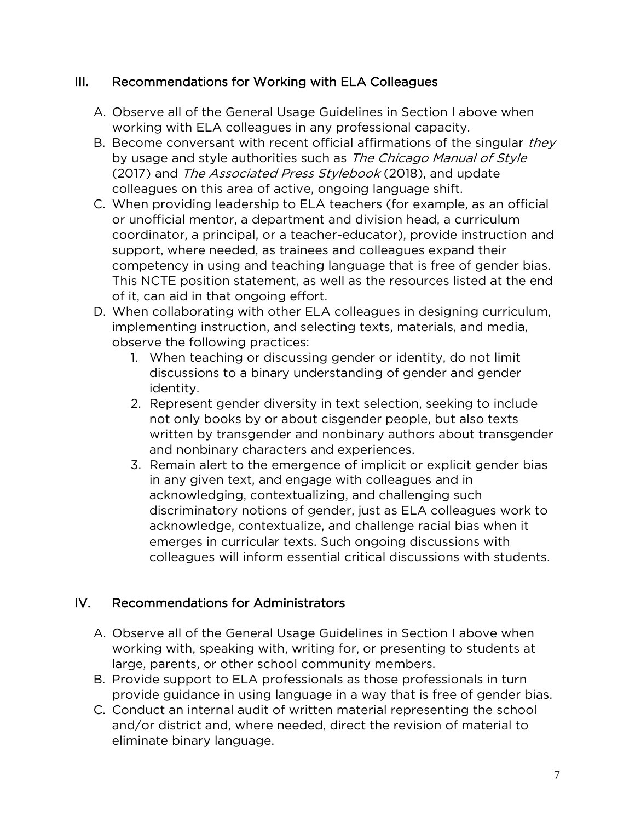### III. Recommendations for Working with ELA Colleagues

- A. Observe all of the General Usage Guidelines in Section I above when working with ELA colleagues in any professional capacity.
- B. Become conversant with recent official affirmations of the singular they by usage and style authorities such as *The Chicago Manual of Style* (2017) and The Associated Press Stylebook (2018), and update colleagues on this area of active, ongoing language shift.
- C. When providing leadership to ELA teachers (for example, as an official or unofficial mentor, a department and division head, a curriculum coordinator, a principal, or a teacher-educator), provide instruction and support, where needed, as trainees and colleagues expand their competency in using and teaching language that is free of gender bias. This NCTE position statement, as well as the resources listed at the end of it, can aid in that ongoing effort.
- D. When collaborating with other ELA colleagues in designing curriculum, implementing instruction, and selecting texts, materials, and media, observe the following practices:
	- 1. When teaching or discussing gender or identity, do not limit discussions to a binary understanding of gender and gender identity.
	- 2. Represent gender diversity in text selection, seeking to include not only books by or about cisgender people, but also texts written by transgender and nonbinary authors about transgender and nonbinary characters and experiences.
	- 3. Remain alert to the emergence of implicit or explicit gender bias in any given text, and engage with colleagues and in acknowledging, contextualizing, and challenging such discriminatory notions of gender, just as ELA colleagues work to acknowledge, contextualize, and challenge racial bias when it emerges in curricular texts. Such ongoing discussions with colleagues will inform essential critical discussions with students.

# IV. Recommendations for Administrators

- A. Observe all of the General Usage Guidelines in Section I above when working with, speaking with, writing for, or presenting to students at large, parents, or other school community members.
- B. Provide support to ELA professionals as those professionals in turn provide guidance in using language in a way that is free of gender bias.
- C. Conduct an internal audit of written material representing the school and/or district and, where needed, direct the revision of material to eliminate binary language.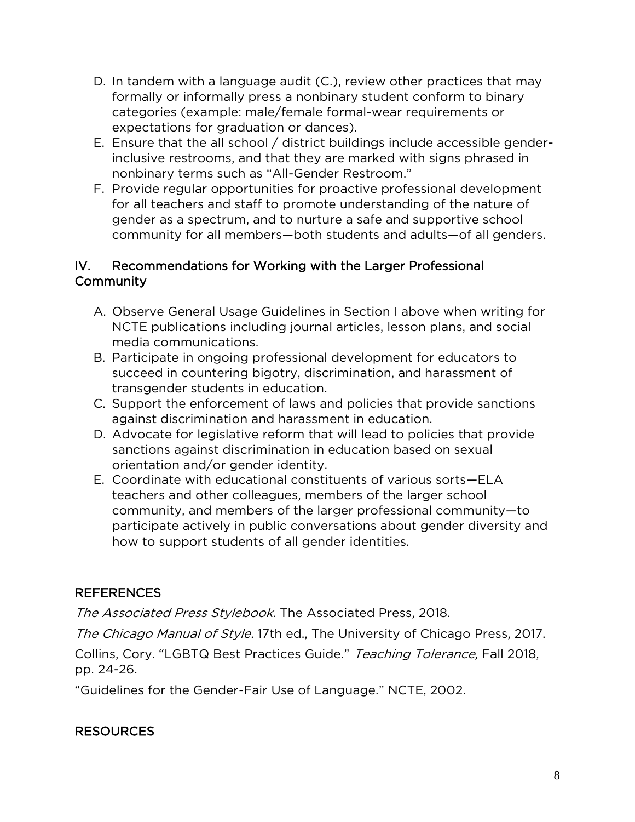- D. In tandem with a language audit (C.), review other practices that may formally or informally press a nonbinary student conform to binary categories (example: male/female formal-wear requirements or expectations for graduation or dances).
- E. Ensure that the all school / district buildings include accessible genderinclusive restrooms, and that they are marked with signs phrased in nonbinary terms such as "All-Gender Restroom."
- F. Provide regular opportunities for proactive professional development for all teachers and staff to promote understanding of the nature of gender as a spectrum, and to nurture a safe and supportive school community for all members—both students and adults—of all genders.

### IV. Recommendations for Working with the Larger Professional **Community**

- A. Observe General Usage Guidelines in Section I above when writing for NCTE publications including journal articles, lesson plans, and social media communications.
- B. Participate in ongoing professional development for educators to succeed in countering bigotry, discrimination, and harassment of transgender students in education.
- C. Support the enforcement of laws and policies that provide sanctions against discrimination and harassment in education.
- D. Advocate for legislative reform that will lead to policies that provide sanctions against discrimination in education based on sexual orientation and/or gender identity.
- E. Coordinate with educational constituents of various sorts—ELA teachers and other colleagues, members of the larger school community, and members of the larger professional community—to participate actively in public conversations about gender diversity and how to support students of all gender identities.

# REFERENCES

The Associated Press Stylebook. The Associated Press, 2018.

The Chicago Manual of Style. 17th ed., The University of Chicago Press, 2017.

Collins, Cory. "LGBTQ Best Practices Guide." Teaching Tolerance, Fall 2018, pp. 24-26.

"Guidelines for the Gender-Fair Use of Language." NCTE, 2002.

# **RESOURCES**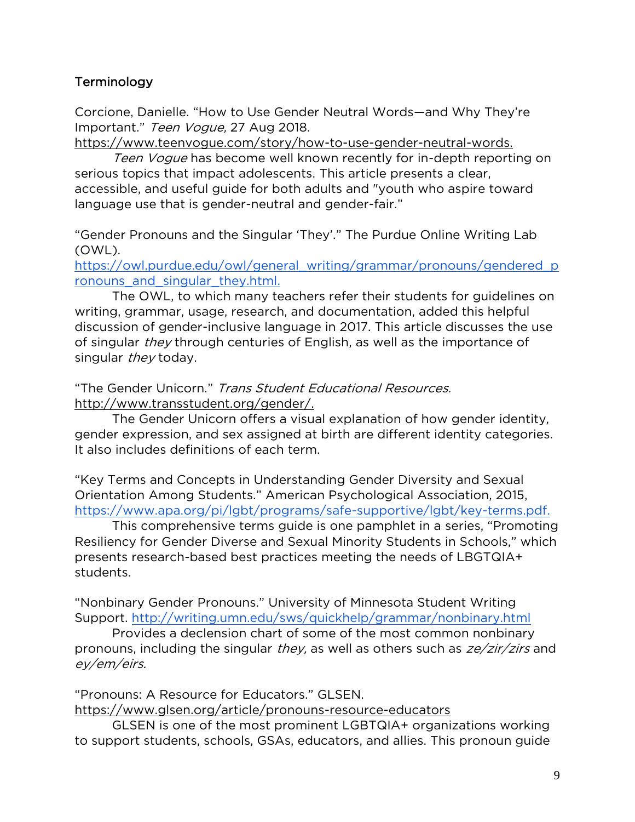### **Terminology**

Corcione, Danielle. "How to Use Gender Neutral Words—and Why They're Important." Teen Vogue, 27 Aug 2018.

[https://www.teenvogue.com/story/how-to-use-gender-neutral-words.](https://www.teenvogue.com/story/how-to-use-gender-neutral-words)

Teen Vogue has become well known recently for in-depth reporting on serious topics that impact adolescents. This article presents a clear, accessible, and useful guide for both adults and "youth who aspire toward language use that is gender-neutral and gender-fair."

"Gender Pronouns and the Singular 'They'." The Purdue Online Writing Lab (OWL).

[https://owl.purdue.edu/owl/general\\_writing/grammar/pronouns/gendered\\_p](https://owl.purdue.edu/owl/general_writing/grammar/pronouns/gendered_pronouns_and_singular_they.html)\_ ronouns and singular they.html.

The OWL, to which many teachers refer their students for guidelines on writing, grammar, usage, research, and documentation, added this helpful discussion of gender-inclusive language in 2017. This article discusses the use of singular they through centuries of English, as well as the importance of singular they today.

"The Gender Unicorn." Trans Student Educational Resources. [http://www.transstudent.org/gender/.](http://www.transstudent.org/gender/)

The Gender Unicorn offers a visual explanation of how gender identity, gender expression, and sex assigned at birth are different identity categories. It also includes definitions of each term.

"Key Terms and Concepts in Understanding Gender Diversity and Sexual Orientation Among Students." American Psychological Association, 2015, [https://www.apa.org/pi/lgbt/programs/safe-supportive/lgbt/key-terms.pdf.](https://www.apa.org/pi/lgbt/programs/safe-supportive/lgbt/key-terms.pdf)

This comprehensive terms guide is one pamphlet in a series, "Promoting Resiliency for Gender Diverse and Sexual Minority Students in Schools," which presents research-based best practices meeting the needs of LBGTQIA+ students.

"Nonbinary Gender Pronouns." University of Minnesota Student Writing Support.<http://writing.umn.edu/sws/quickhelp/grammar/nonbinary.html>

Provides a declension chart of some of the most common nonbinary pronouns, including the singular they, as well as others such as  $ze/zik/zirs$  and ey/em/eirs.

"Pronouns: A Resource for Educators." GLSEN.

<https://www.glsen.org/article/pronouns-resource-educators>

GLSEN is one of the most prominent LGBTQIA+ organizations working to support students, schools, GSAs, educators, and allies. This pronoun guide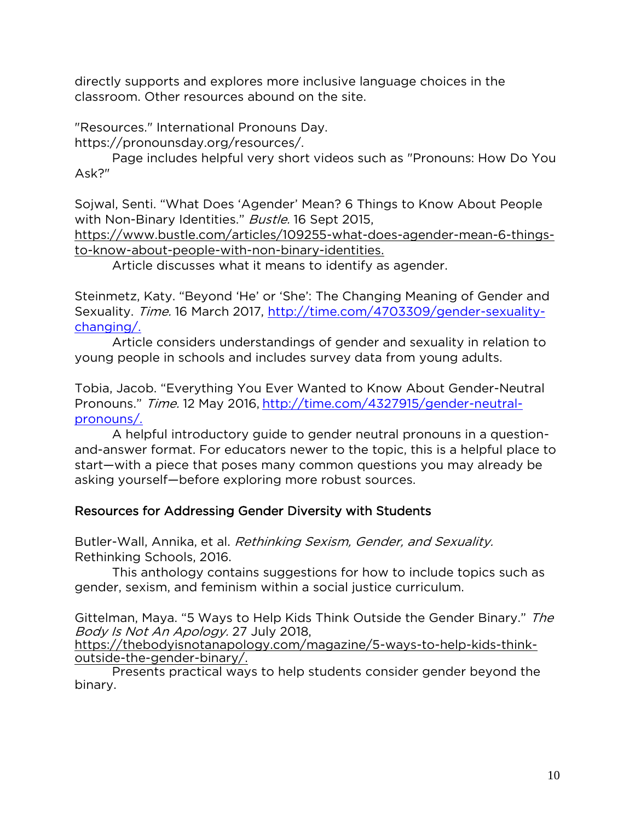directly supports and explores more inclusive language choices in the classroom. Other resources abound on the site.

"Resources." International Pronouns Day.

https://pronounsday.org/resources/.

Page includes helpful very short videos such as "Pronouns: How Do You Ask?"

Sojwal, Senti. "What Does 'Agender' Mean? 6 Things to Know About People with Non-Binary Identities." Bustle. 16 Sept 2015,

[https://www.bustle.com/articles/109255-what-does-agender-mean-6-things](https://www.bustle.com/articles/109255-what-does-agender-mean-6-things-to-know-about-people-with-non-binary-identities)[to-know-about-people-with-non-binary-identities.](https://www.bustle.com/articles/109255-what-does-agender-mean-6-things-to-know-about-people-with-non-binary-identities)

Article discusses what it means to identify as agender.

Steinmetz, Katy. "Beyond 'He' or 'She': The Changing Meaning of Gender and Sexuality. Time. 16 March 2017, [http://time.com/4703309/gender-sexuality](http://time.com/4703309/gender-sexuality-changing/)[changing/.](http://time.com/4703309/gender-sexuality-changing/)

Article considers understandings of gender and sexuality in relation to young people in schools and includes survey data from young adults.

Tobia, Jacob. "Everything You Ever Wanted to Know About Gender-Neutral Pronouns." Time. 12 May 2016, [http://time.com/4327915/gender-neutral](http://time.com/4327915/gender-neutral-pronouns/)[pronouns/.](http://time.com/4327915/gender-neutral-pronouns/)

A helpful introductory guide to gender neutral pronouns in a questionand-answer format. For educators newer to the topic, this is a helpful place to start—with a piece that poses many common questions you may already be asking yourself—before exploring more robust sources.

# Resources for Addressing Gender Diversity with Students

Butler-Wall, Annika, et al. Rethinking Sexism, Gender, and Sexuality. Rethinking Schools, 2016.

This anthology contains suggestions for how to include topics such as gender, sexism, and feminism within a social justice curriculum.

Gittelman, Maya. "5 Ways to Help Kids Think Outside the Gender Binary." The Body Is Not An Apology. 27 July 2018,

[https://thebodyisnotanapology.com/magazine/5-ways-to-help-kids-think](https://thebodyisnotanapology.com/magazine/5-ways-to-help-kids-think-outside-the-gender-binary/)[outside-the-gender-binary/.](https://thebodyisnotanapology.com/magazine/5-ways-to-help-kids-think-outside-the-gender-binary/)

Presents practical ways to help students consider gender beyond the binary.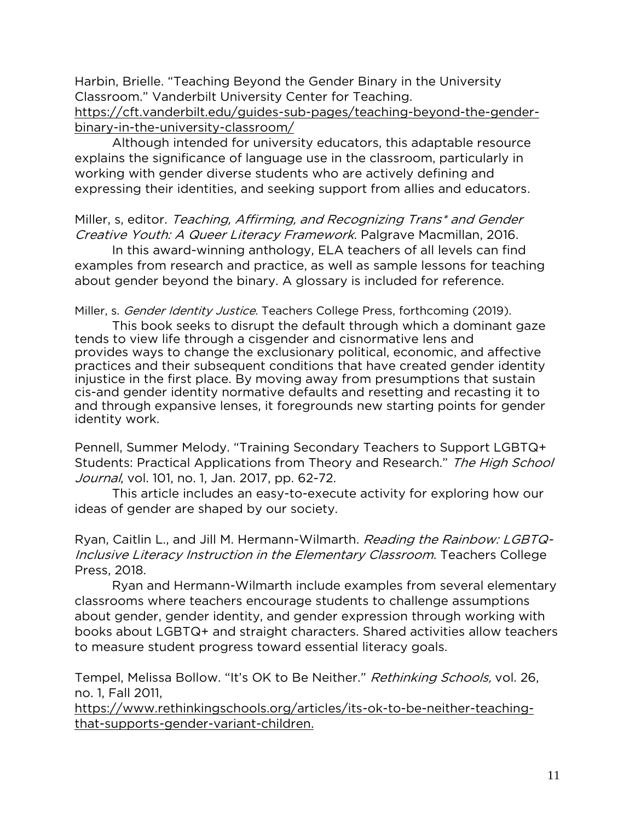Harbin, Brielle. "Teaching Beyond the Gender Binary in the University Classroom." Vanderbilt University Center for Teaching. [https://cft.vanderbilt.edu/guides-sub-pages/teaching-beyond-the-gender](https://cft.vanderbilt.edu/guides-sub-pages/teaching-beyond-the-gender-binary-in-the-university-classroom/)[binary-in-the-university-classroom/](https://cft.vanderbilt.edu/guides-sub-pages/teaching-beyond-the-gender-binary-in-the-university-classroom/)

Although intended for university educators, this adaptable resource explains the significance of language use in the classroom, particularly in working with gender diverse students who are actively defining and expressing their identities, and seeking support from allies and educators.

#### Miller, s, editor. [Teaching, Affirming, and Recognizing Trans\\* and Gender](https://www.palgrave.com/us/book/9781137567659)  [Creative Youth: A Queer Literacy Framework](https://www.palgrave.com/us/book/9781137567659). Palgrave Macmillan, 2016.

In this award-winning anthology, ELA teachers of all levels can find examples from research and practice, as well as sample lessons for teaching about gender beyond the binary. A glossary is included for reference.

Miller, s. Gender Identity Justice. Teachers College Press, forthcoming (2019).

This book seeks to disrupt the default through which a dominant gaze tends to view life through a cisgender and cisnormative lens and provides ways to change the exclusionary political, economic, and affective practices and their subsequent conditions that have created gender identity injustice in the first place. By moving away from presumptions that sustain cis-and gender identity normative defaults and resetting and recasting it to and through expansive lenses, it foregrounds new starting points for gender identity work.

Pennell, Summer Melody. "Training Secondary Teachers to Support LGBTQ+ Students: Practical Applications from Theory and Research." The High School Journal, vol. 101, no. 1, Jan. 2017, pp. 62-72.

This article includes an easy-to-execute activity for exploring how our ideas of gender are shaped by our society.

Ryan, Caitlin L., and Jill M. Hermann-Wilmarth. *[Reading the Rainbow: LGBTQ-](https://www.tcpress.com/reading-the-rainbow-9780807759332)*[Inclusive Literacy Instruction in the Elementary Classroom](https://www.tcpress.com/reading-the-rainbow-9780807759332)[. T](https://www.tcpress.com/reading-the-rainbow-9780807759332)eachers College Press, 2018.

Ryan and Hermann-Wilmarth include examples from several elementary classrooms where teachers encourage students to challenge assumptions about gender, gender identity, and gender expression through working with books about LGBTQ+ and straight characters. Shared activities allow teachers to measure student progress toward essential literacy goals.

Tempel, Melissa Bollow. "It's OK to Be Neither." Rethinking Schools, vol. 26, no. 1, Fall 2011,

[https://www.rethinkingschools.org/articles/its-ok-to-be-neither-teaching](https://www.rethinkingschools.org/articles/its-ok-to-be-neither-teaching-that-supports-gender-variant-children)[that-supports-gender-variant-children.](https://www.rethinkingschools.org/articles/its-ok-to-be-neither-teaching-that-supports-gender-variant-children)